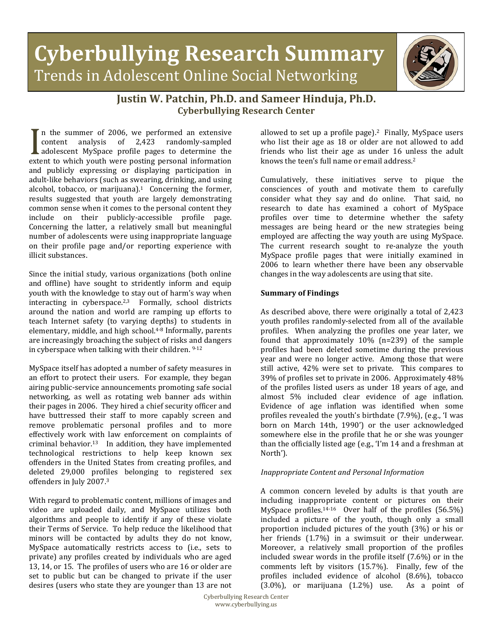# **Cyberbullying Research Summary** Trends in Adolescent Online Social Networking



# **Justin W. Patchin, Ph.D. and Sameer Hinduja, Ph.D. Cyberbullying Research Center**

n the summer of 2006, we performed an extensive content analysis of 2,423 randomly-sampled adolescent MySpace profile pages to determine the reflective content analysis of 2,423 randomly-sampled<br>
adolescent MySpace profile pages to determine the<br>
extent to which youth were posting personal information<br>
and publicly expressing or displaying participation in and publicly expressing or displaying participation in adult-like behaviors (such as swearing, drinking, and using alcohol, tobacco, or marijuana). $1$  Concerning the former, results suggested that youth are largely demonstrating common sense when it comes to the personal content they include on their publicly-accessible profile page. Concerning the latter, a relatively small but meaningful number of adolescents were using inappropriate language on their profile page and/or reporting experience with illicit substances.

Since the initial study, various organizations (both online and offline) have sought to stridently inform and equip youth with the knowledge to stay out of harm's way when interacting in cyberspace. $2,3$  Formally, school districts around the nation and world are ramping up efforts to teach Internet safety (to varying depths) to students in elementary, middle, and high school.4-8 Informally, parents are increasingly broaching the subject of risks and dangers in cyberspace when talking with their children. 9-12

MySpace itself has adopted a number of safety measures in an effort to protect their users. For example, they began airing public-service announcements promoting safe social networking, as well as rotating web banner ads within their pages in 2006. They hired a chief security officer and have buttressed their staff to more capably screen and remove problematic personal profiles and to more effectively work with law enforcement on complaints of criminal behavior.<sup>13</sup> In addition, they have implemented technological restrictions to help keep known sex offenders in the United States from creating profiles, and deleted 29,000 profiles belonging to registered sex offenders in July 2007.3

With regard to problematic content, millions of images and video are uploaded daily, and MySpace utilizes both algorithms and people to identify if any of these violate their Terms of Service. To help reduce the likelihood that minors will be contacted by adults they do not know, MySpace automatically restricts access to (i.e., sets to private) any profiles created by individuals who are aged 13, 14, or 15. The profiles of users who are 16 or older are set to public but can be changed to private if the user desires (users who state they are younger than 13 are not

allowed to set up a profile page).<sup>2</sup> Finally, MySpace users who list their age as 18 or older are not allowed to add friends who list their age as under 16 unless the adult knows the teen's full name or email address.2

Cumulatively, these initiatives serve to pique the consciences of youth and motivate them to carefully consider what they say and do online. That said, no research to date has examined a cohort of MySpace profiles over time to determine whether the safety messages are being heard or the new strategies being employed are affecting the way youth are using MySpace. The current research sought to re-analyze the youth MySpace profile pages that were initially examined in 2006 to learn whether there have been any observable changes in the way adolescents are using that site.

## **Summary of Findings**

As described above, there were originally a total of 2,423 youth profiles randomly-selected from all of the available profiles. When analyzing the profiles one year later, we found that approximately 10% (n=239) of the sample profiles had been deleted sometime during the previous year and were no longer active. Among those that were still active, 42% were set to private. This compares to 39% of profiles set to private in 2006. Approximately 48% of the profiles listed users as under 18 years of age, and almost 5% included clear evidence of age inflation. Evidence of age inflation was identified when some profiles revealed the youth's birthdate (7.9%), (e.g., 'I was born on March 14th, 1990') or the user acknowledged somewhere else in the profile that he or she was younger than the officially listed age (e.g., 'I'm 14 and a freshman at North').

## *Inappropriate Content and Personal Information*

A common concern leveled by adults is that youth are including inappropriate content or pictures on their MySpace profiles.14-16 Over half of the profiles (56.5%) included a picture of the youth, though only a small proportion included pictures of the youth (3%) or his or her friends (1.7%) in a swimsuit or their underwear. Moreover, a relatively small proportion of the profiles included swear words in the profile itself (7.6%) or in the comments left by visitors (15.7%). Finally, few of the profiles included evidence of alcohol (8.6%), tobacco (3.0%), or marijuana (1.2%) use. As a point of  $(3.0\%)$ , or marijuana  $(1.2\%)$  use.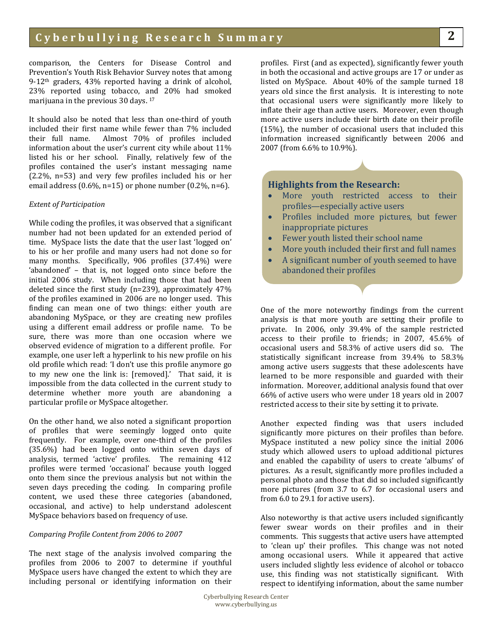comparison, the Centers for Disease Control and Prevention's Youth Risk Behavior Survey notes that among 9-12th graders, 43% reported having a drink of alcohol, 23% reported using tobacco, and 20% had smoked marijuana in the previous 30 days. 17

It should also be noted that less than one-third of youth included their first name while fewer than 7% included<br>their full name. Almost 70% of profiles included Almost 70% of profiles included information about the user's current city while about 11% listed his or her school. Finally, relatively few of the profiles contained the user's instant messaging name (2.2%, n=53) and very few profiles included his or her email address  $(0.6\%, n=15)$  or phone number  $(0.2\%, n=6)$ .

#### *Extent of Participation*

While coding the profiles, it was observed that a significant number had not been updated for an extended period of time. MySpace lists the date that the user last 'logged on' to his or her profile and many users had not done so for many months. Specifically, 906 profiles (37.4%) were 'abandoned' – that is, not logged onto since before the initial 2006 study. When including those that had been deleted since the first study (n=239), approximately 47% of the profiles examined in 2006 are no longer used. This finding can mean one of two things: either youth are abandoning MySpace, or they are creating new profiles using a different email address or profile name. To be sure, there was more than one occasion where we observed evidence of migration to a different profile. For example, one user left a hyperlink to his new profile on his old profile which read: 'I don't use this profile anymore go to my new one the link is: [removed].' That said, it is impossible from the data collected in the current study to determine whether more youth are abandoning a particular profile or MySpace altogether.

On the other hand, we also noted a significant proportion of profiles that were seemingly logged onto quite frequently. For example, over one-third of the profiles (35.6%) had been logged onto within seven days of analysis, termed 'active' profiles. The remaining 412 profiles were termed 'occasional' because youth logged onto them since the previous analysis but not within the seven days preceding the coding. In comparing profile content, we used these three categories (abandoned, occasional, and active) to help understand adolescent MySpace behaviors based on frequency of use.

#### *Comparing Profile Content from 2006 to 2007*

The next stage of the analysis involved comparing the profiles from 2006 to 2007 to determine if youthful MySpace users have changed the extent to which they are including personal or identifying information on their

profiles. First (and as expected), significantly fewer youth in both the occasional and active groups are 17 or under as listed on MySpace. About 40% of the sample turned 18 years old since the first analysis. It is interesting to note that occasional users were significantly more likely to inflate their age than active users. Moreover, even though more active users include their birth date on their profile (15%), the number of occasional users that included this information increased significantly between 2006 and 2007 (from 6.6% to 10.9%).

### **Highlights from the Research:**

- More youth restricted access to their profiles—especially active users
- Profiles included more pictures, but fewer inappropriate pictures
- Fewer youth listed their school name
- More youth included their first and full names
- A significant number of youth seemed to have abandoned their profiles

One of the more noteworthy findings from the current analysis is that more youth are setting their profile to private. In 2006, only 39.4% of the sample restricted access to their profile to friends; in 2007, 45.6% of occasional users and 58.3% of active users did so. The statistically significant increase from 39.4% to 58.3% among active users suggests that these adolescents have learned to be more responsible and guarded with their information. Moreover, additional analysis found that over 66% of active users who were under 18 years old in 2007 restricted access to their site by setting it to private.

Another expected finding was that users included significantly more pictures on their profiles than before. MySpace instituted a new policy since the initial 2006 study which allowed users to upload additional pictures and enabled the capability of users to create 'albums' of pictures. As a result, significantly more profiles included a personal photo and those that did so included significantly more pictures (from 3.7 to 6.7 for occasional users and from 6.0 to 29.1 for active users).

Also noteworthy is that active users included significantly fewer swear words on their profiles and in their comments. This suggests that active users have attempted to 'clean up' their profiles. This change was not noted among occasional users. While it appeared that active users included slightly less evidence of alcohol or tobacco use, this finding was not statistically significant. With respect to identifying information, about the same number